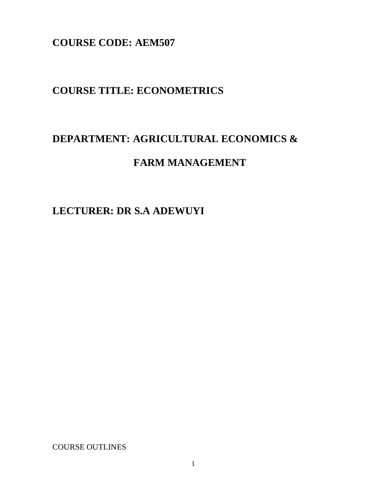**COURSE CODE: AEM507**

# **COURSE TITLE: ECONOMETRICS**

# **DEPARTMENT: AGRICULTURAL ECONOMICS &**

# **FARM MANAGEMENT**

# **LECTURER: DR S.A ADEWUYI**

COURSE OUTLINES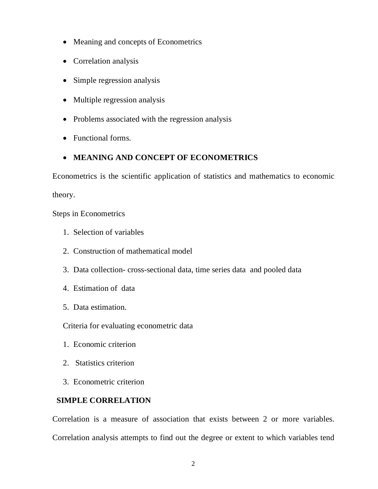- Meaning and concepts of Econometrics
- Correlation analysis
- Simple regression analysis
- Multiple regression analysis
- Problems associated with the regression analysis
- Functional forms.

# **MEANING AND CONCEPT OF ECONOMETRICS**

Econometrics is the scientific application of statistics and mathematics to economic

theory.

Steps in Econometrics

- 1. Selection of variables
- 2. Construction of mathematical model
- 3. Data collection- cross-sectional data, time series data and pooled data
- 4. Estimation of data
- 5. Data estimation.

Criteria for evaluating econometric data

- 1. Economic criterion
- 2. Statistics criterion
- 3. Econometric criterion

# **SIMPLE CORRELATION**

Correlation is a measure of association that exists between 2 or more variables. Correlation analysis attempts to find out the degree or extent to which variables tend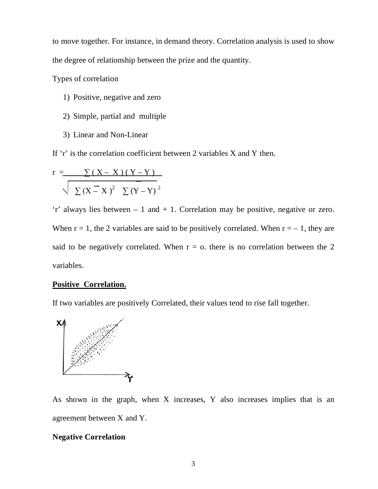to move together. For instance, in demand theory. Correlation analysis is used to show the degree of relationship between the prize and the quantity.

Types of correlation

- 1) Positive, negative and zero
- 2) Simple, partial and multiple
- 3) Linear and Non-Linear

If 'r' is the correlation coefficient between 2 variables X and Y then.

$$
r = \frac{\sum (X - X)(Y - Y)}{\sum (X - X)^{2} \sum (Y - Y)^{2}}
$$

'r' always lies between – 1 and + 1. Correlation may be positive, negative or zero. When  $r = 1$ , the 2 variables are said to be positively correlated. When  $r = -1$ , they are said to be negatively correlated. When  $r = o$ , there is no correlation between the 2 variables.

### **Positive Correlation.**

If two variables are positively Correlated, their values tend to rise fall together.



As shown in the graph, when X increases, Y also increases implies that is an agreement between X and Y.

# **Negative Correlation**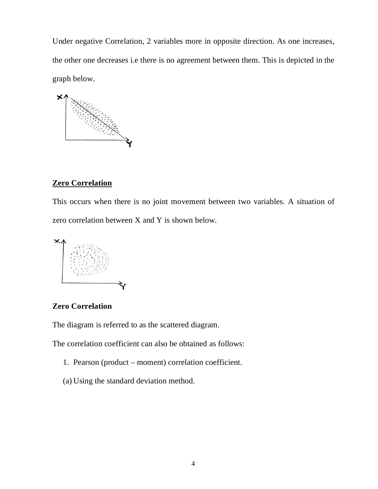Under negative Correlation, 2 variables more in opposite direction. As one increases, the other one decreases i.e there is no agreement between them. This is depicted in the graph below.



## **Zero Correlation**

This occurs when there is no joint movement between two variables. A situation of zero correlation between X and Y is shown below.



# **Zero Correlation**

The diagram is referred to as the scattered diagram.

The correlation coefficient can also be obtained as follows:

- 1. Pearson (product moment) correlation coefficient.
- (a) Using the standard deviation method.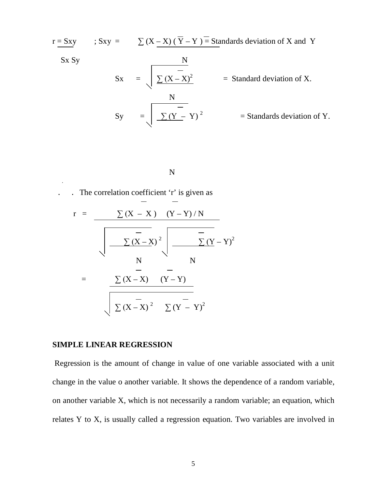$r = Sxy$  ; Sxy =  $\sum (X - X) (\overline{Y} - Y) =$  Standards deviation of X and Y Sx Sy N  $Sx = \int \sum (X - X)^2$  = Standard deviation of X. N  $\text{Sy} = \left| \sum (Y - Y)^2 \right| = \text{Standards deviation of Y}.$ 

N

. . The correlation coefficient 'r' is given as

.

$$
r = \frac{\sum (X - X) (Y - Y)/N}{\sqrt{\frac{-}{N} (X - X)^{2}} \sqrt{\frac{-}{N} (Y - Y)^{2}}}
$$
\n
$$
= \frac{\sum (X - X) (Y - Y)}{\sqrt{\frac{-}{N} (X - X)^{2}} \sqrt{\frac{-}{N} (Y - Y)^{2}}}
$$

#### **SIMPLE LINEAR REGRESSION**

Regression is the amount of change in value of one variable associated with a unit change in the value o another variable. It shows the dependence of a random variable, on another variable X, which is not necessarily a random variable; an equation, which relates Y to X, is usually called a regression equation. Two variables are involved in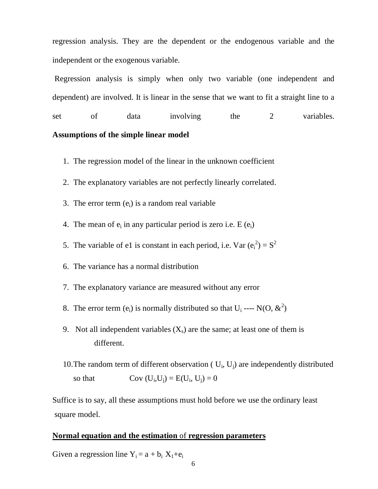regression analysis. They are the dependent or the endogenous variable and the independent or the exogenous variable.

Regression analysis is simply when only two variable (one independent and dependent) are involved. It is linear in the sense that we want to fit a straight line to a set of data involving the 2 variables.

## **Assumptions of the simple linear model**

- 1. The regression model of the linear in the unknown coefficient
- 2. The explanatory variables are not perfectly linearly correlated.
- 3. The error term  $(e_i)$  is a random real variable
- 4. The mean of  $e_i$  in any particular period is zero i.e.  $E(e_i)$
- 5. The variable of e1 is constant in each period, i.e. Var  $(e_i^2) = S^2$
- 6. The variance has a normal distribution
- 7. The explanatory variance are measured without any error
- 8. The error term (e<sub>i</sub>) is normally distributed so that  $U_i$  ---- N(O,  $\&^2$ )
- 9. Not all independent variables  $(X_s)$  are the same; at least one of them is different.
- 10. The random term of different observation ( $U_i$ ,  $U_j$ ) are independently distributed so that  $Cov (U_i, U_j) = E(U_i, U_j) = 0$

Suffice is to say, all these assumptions must hold before we use the ordinary least square model.

#### **Normal equation and the estimation** of **regression parameters**

Given a regression line  $Y_i = a + b_i X_1 + e_i$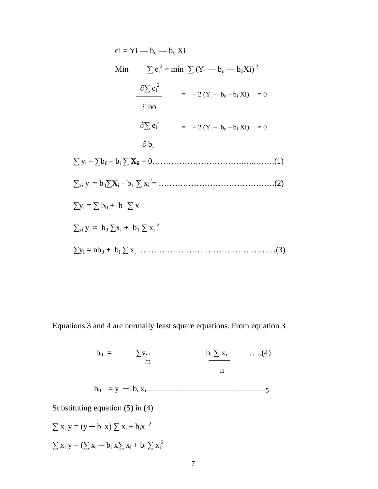$$
ei = Yi - b_o - b_o Xi
$$
  
\nMin  $\sum e_i^2 = min \sum (Y_i - b_o - b_oXi)^2$   
\n
$$
\frac{\partial \sum e_i^2}{\partial b_o} = -2 (Y_i - b_o - b_iXi) = 0
$$
  
\n
$$
\frac{\partial \sum e_i^2}{\partial b_i} = -2 (Y_i - b_o - b_iXi) = 0
$$
  
\n
$$
\frac{\partial b_i}{\partial b_i}
$$
  
\n
$$
\sum y_i - \sum b_0 - b_i \sum x_i = 0
$$
.................(1)  
\n
$$
\sum x_i y_i = b_0 \sum x_i - b_1 \sum x_i^2 =
$$
.................(2)  
\n
$$
\sum y_i = \sum b_0 + b_1 \sum x_i
$$
  
\n
$$
\sum x_i y_i = b_0 \sum x_i + b_1 \sum x_i^2
$$
  
\n
$$
\sum y_i = nb_0 + b_i \sum x_i
$$
.................(3)

Equations 3 and 4 are normally least square equations. From equation 3

 $b_0 = \sum_{i=1}^{n} v_i$  *b*<sub>i</sub>  $\sum_{i=1}^{n} x_i$  ……(4) n na bheannaiche ann an Dùbhlachas an Dùbhlachas an Dùbhlachas an Dùbhlachas an Dùbhlachas an Dùbhlachas an Dù b0 = y ─ b<sup>i</sup> xi---------------------------------------------------------------------5 Substituting equation (5) in (4)  $\ln$ 

$$
\sum x_i y = (y - b_i x) \sum x_i + b_i x_i^{2}
$$
  

$$
\sum x_i y = (\sum x_i - b_i x \sum x_i + b_i \sum x_i^{2})
$$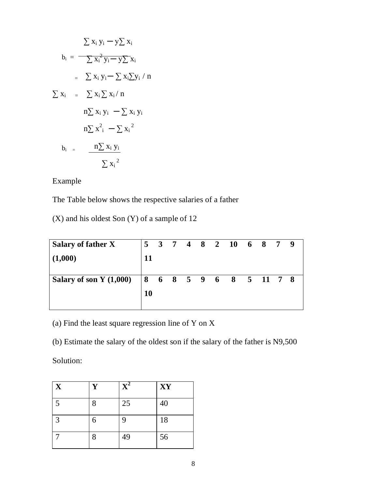$$
\sum x_i y_i - y \sum x_i
$$
  
\n
$$
b_i = \frac{}{}{}\sum x_i^2 y_i - y \sum x_i
$$
  
\n
$$
= \sum x_i y_i - \sum x_i \sum y_i / n
$$
  
\n
$$
\sum x_i = \sum x_i \sum x_i / n
$$
  
\n
$$
n \sum x_i y_i - \sum x_i y_i
$$
  
\n
$$
n \sum x_i^2 - \sum x_i^2
$$
  
\n
$$
b_i = \frac{n \sum x_i y_i}{\sum x_i^2}
$$

Example

The Table below shows the respective salaries of a father

(X) and his oldest Son (Y) of a sample of 12

| Salary of father X                               |           |  |  | 5 3 7 4 8 2 10 6 8 7 9 |  |  |
|--------------------------------------------------|-----------|--|--|------------------------|--|--|
| (1,000)                                          | 11        |  |  |                        |  |  |
| Salary of son Y (1,000)   8 6 8 5 9 6 8 5 11 7 8 |           |  |  |                        |  |  |
|                                                  | <b>10</b> |  |  |                        |  |  |
|                                                  |           |  |  |                        |  |  |

(a) Find the least square regression line of Y on X

(b) Estimate the salary of the oldest son if the salary of the father is N9,500

Solution:

| X              | Y | $\overline{\mathbf{X}^2}$ | XY |
|----------------|---|---------------------------|----|
| 5              | 8 | 25                        | 40 |
| $\overline{3}$ | 6 | 9                         | 18 |
|                | 8 | 49                        | 56 |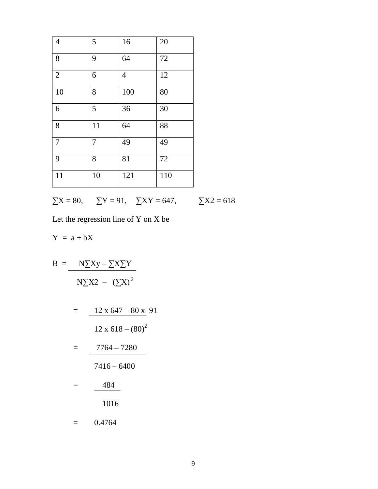| $\overline{4}$ | 5  | 16             | 20  |
|----------------|----|----------------|-----|
| 8              | 9  | 64             | 72  |
| $\overline{2}$ | 6  | $\overline{4}$ | 12  |
| 10             | 8  | 100            | 80  |
| 6              | 5  | 36             | 30  |
| 8              | 11 | 64             | 88  |
| $\overline{7}$ | 7  | 49             | 49  |
| 9              | 8  | 81             | 72  |
| 11             | 10 | 121            | 110 |

$$
\sum X = 80, \qquad \sum Y = 91, \quad \sum XY = 647, \qquad \sum X2 = 618
$$

Let the regression line of Y on X be

$$
Y\ =\ a+bX
$$

$$
B = \frac{N\sum xy - \sum X\sum Y}{N\sum X^2 - (\sum X)^2}
$$

$$
= \frac{12 \times 647 - 80 \times 91}{12 \times 618 - (80)^2}
$$

$$
= \frac{7764 - 7280}{}
$$

$$
7416-6400
$$

$$
= \frac{484}{1016}
$$

$$
= 0.4764
$$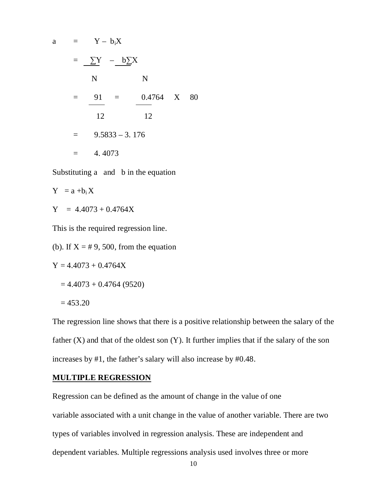a = Y - b<sub>1</sub>X  
\n= 
$$
\sum Y
$$
 - b $\sum X$   
\nN N  
\n=  $\frac{91}{12}$  =  $\frac{0.4764}{12}$  X 80  
\n= 9.5833 - 3.176  
\n= 4.4073

Substituting a and b in the equation

$$
Y = a + b_i X
$$

 $Y = 4.4073 + 0.4764X$ 

This is the required regression line.

(b). If  $X = #9,500$ , from the equation

$$
Y = 4.4073 + 0.4764X
$$

$$
=4.4073+0.4764(9520)
$$

$$
=453.20
$$

The regression line shows that there is a positive relationship between the salary of the father  $(X)$  and that of the oldest son  $(Y)$ . It further implies that if the salary of the son increases by #1, the father's salary will also increase by #0.48.

# **MULTIPLE REGRESSION**

Regression can be defined as the amount of change in the value of one variable associated with a unit change in the value of another variable. There are two types of variables involved in regression analysis. These are independent and dependent variables. Multiple regressions analysis used involves three or more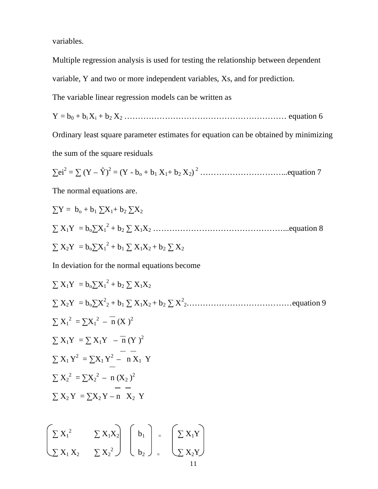variables.

Multiple regression analysis is used for testing the relationship between dependent variable, Y and two or more independent variables, Xs, and for prediction.

The variable linear regression models can be written as

 $Y = b_0 + b_1 X_1 + b_2 X_2 \dots \dots \dots \dots \dots \dots \dots \dots \dots \dots \dots \dots \dots$  equation 6

Ordinary least square parameter estimates for equation can be obtained by minimizing the sum of the square residuals

**∑**ei<sup>2</sup> = **∑** (Y – Ŷ) 2 = (Y - b<sup>o</sup> + b<sup>1</sup> X1+ b<sup>2</sup> X2) <sup>2</sup> …………………………...equation 7

The normal equations are.

$$
\sum Y = b_0 + b_1 \sum X_1 + b_2 \sum X_2
$$
  

$$
\sum X_1 Y = b_0 \sum X_1^2 + b_2 \sum X_1 X_2
$$
................. equation 8  

$$
\sum X_2 Y = b_0 \sum X_1^2 + b_1 \sum X_1 X_2 + b_2 \sum X_2
$$

In deviation for the normal equations become

$$
\sum X_1 Y = b_0 \sum X_1^2 + b_2 \sum X_1 X_2
$$
  
\n
$$
\sum X_2 Y = b_0 \sum X_2^2 + b_1 \sum X_1 X_2 + b_2 \sum X_2^2 + \cdots + a_1 \sum X_1^2 = \sum X_1^2 - \overline{n} (X^2)
$$
  
\n
$$
\sum X_1 Y = \sum X_1 Y - \overline{n} (Y^2 - \overline{n} - \overline{n} - \overline{n} - \overline{n} - \overline{n} - \overline{n} - \overline{n} - \overline{n} - \overline{n} - \overline{n} - \overline{n} - \overline{n} - \overline{n} - \overline{n} - \overline{n} - \overline{n} - \overline{n} - \overline{n} - \overline{n} - \overline{n} - \overline{n} - \overline{n} - \overline{n} - \overline{n} - \overline{n} - \overline{n} - \overline{n} - \overline{n} - \overline{n} - \overline{n} - \overline{n} - \overline{n} - \overline{n} - \overline{n} - \overline{n} - \overline{n} - \overline{n} - \overline{n} - \overline{n} - \overline{n} - \overline{n} - \overline{n} - \overline{n} - \overline{n} - \overline{n} - \overline{n} - \overline{n} - \overline{n} - \overline{n} - \overline{n} - \overline{n} - \overline{n} - \overline{n} - \overline{n} - \overline{n} - \overline{n} - \overline{n} - \overline{n} - \overline{n} - \overline{n} - \overline{n} - \overline{n} - \overline{n} - \overline{n} - \overline{n} - \overline{n} - \overline{n} - \overline{n} - \overline{n} - \overline{n} - \overline{n} - \overline{n} - \overline{n} - \overline{n} - \overline{n} - \overline{n} - \overline{n} - \overline{n} - \overline{n} - \overline{n} - \overline{n} - \overline{n} - \overline{n} - \overline{n} - \overline{n} - \overline{n} - \overline{n} - \overline{n} - \overline{n} - \overline{n} - \overline{n} - \overline{n} - \overline{n} - \overline{n} - \overline{n} - \overline{n} - \overline{n} - \overline{n} - \overline{n} - \overline{n} - \overline{n} - \overline{n} -
$$

$$
\begin{bmatrix} \sum X_1^2 & \sum X_1 X_2 \\ \sum X_1 X_2 & \sum X_2^2 \end{bmatrix} \begin{bmatrix} b_1 \\ b_2 \end{bmatrix} = \begin{bmatrix} \sum X_1 Y \\ \sum X_2 Y \end{bmatrix}
$$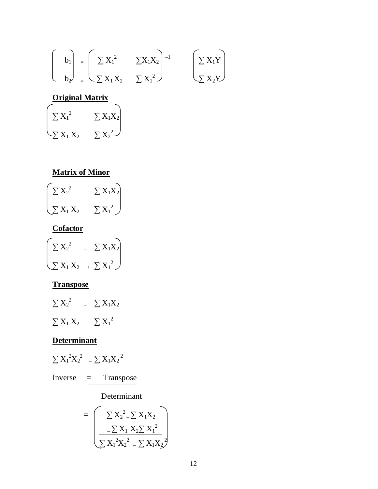$$
\begin{bmatrix} b_1 \ b_2 \end{bmatrix} = \begin{bmatrix} \sum X_1^2 & \sum X_1 X_2 \\ \sum X_1 X_2 & \sum X_1^2 \end{bmatrix}^{-1} \qquad \begin{bmatrix} \sum X_1 Y \\ \sum X_2 Y \end{bmatrix}
$$

# **Original Matrix**

$$
\begin{pmatrix}\n\Sigma X_1^2 & \Sigma X_1X_2 \\
\Sigma X_1X_2 & \Sigma X_2^2\n\end{pmatrix}
$$

# **Matrix of Minor**



# **Cofactor**

| $\sum X_2^2$   | $\sum X_1X_2$  |
|----------------|----------------|
| $\sum X_1 X_2$ | $+ \sum X_1^2$ |

# **Transpose**

$$
\begin{array}{ccc}\n\sum X_2{}^2 & -\sum X_1X_2\\
\sum X_1 X_2 & \sum X_1{}^2\n\end{array}
$$

# **Determinant**

$$
\sum \, X_1^{\; 2} X_2^{\; 2} \quad \ \ - \sum \, X_1 X_2^{\; 2}
$$

Inverse = Transpose

Determinant

$$
= \left(\frac{\sum X_2^2 - \sum X_1 X_2}{\sum X_1 X_2 \sum X_1^2}\right)
$$

$$
\sum X_1^2 X_2^2 - \sum X_1 X_2^2
$$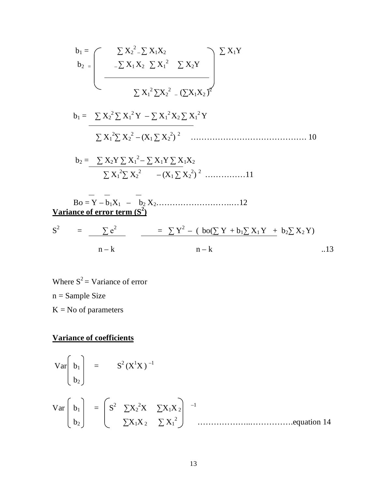b<sup>1</sup> = **∑** X<sup>2</sup> 2 – **∑** X1X2 **∑** X1Y b2 = – **∑** X1 X2 **∑** X<sup>1</sup> 2 **∑** X2Y  **∑** X<sup>1</sup> <sup>2</sup>**∑**X<sup>2</sup> 2 – (**∑**X1X2 ) 2 b<sup>1</sup> = **∑** X<sup>2</sup> <sup>2</sup> **∑** X<sup>1</sup> <sup>2</sup> Y – **∑** X<sup>1</sup> <sup>2</sup>X2 **∑** X<sup>1</sup> <sup>2</sup> Y **∑** X<sup>1</sup> <sup>2</sup>**∑** X<sup>2</sup> 2 – (X1 **∑** X<sup>2</sup> 2 ) <sup>2</sup>……………………………………. 10 b<sup>2</sup> = **∑** X2Y **∑** X<sup>1</sup> 2 – **∑** X1Y **∑** X1X<sup>2</sup> **∑** X<sup>1</sup> <sup>2</sup>**∑** X<sup>2</sup> 2 – (X1 **∑** X<sup>2</sup> 2 ) <sup>2</sup>……………11 Bo = Y – b1X1 – b<sup>2</sup> X2……………………….…12 **Variance of error term (S<sup>2</sup> )** = ∑ e<sup>2</sup> = **∑** Y 2 – ( bo(**∑** Y + b1**∑** X1 Y + b2**∑** X2 Y) n – k n – k ..13

Where  $S^2$  = Variance of error n = Sample Size  $K = No$  of parameters

 $S^2$ 

# **Variance of coefficients**

2 (X<sup>1</sup>X ) –1 Var b<sup>1</sup> = S b2 <sup>2</sup>**∑**X<sup>2</sup> <sup>2</sup>X **∑**X1X <sup>2</sup> –1 Var b<sup>1</sup> = S 2 b2 **∑**X1X <sup>2</sup> **∑** X<sup>1</sup> ………………..…………….equation 14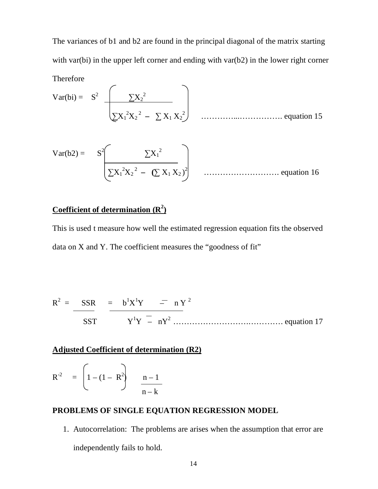The variances of b1 and b2 are found in the principal diagonal of the matrix starting with var(bi) in the upper left corner and ending with var(b2) in the lower right corner

Therefore  
\n
$$
Var(bi) = S^{2} \left( \frac{\sum X_{2}^{2}}{\sum X_{1}^{2}X_{2}^{2} - \sum X_{1}X_{2}^{2}} \right)
$$
\n................. equation 15

Var(b2) = 
$$
S^2 \left( \frac{\sum X_1^2}{\sum X_1^2 X_2^2 - (\sum X_1 X_2)^2} \right)
$$
................. equation 16

# **Coefficient of determination (R<sup>2</sup> )**

This is used t measure how well the estimated regression equation fits the observed data on X and Y. The coefficient measures the "goodness of fit"

$$
R^{2} = \frac{SSR}{SST} = b^{1}X^{1}Y = nY^{2}
$$
  
SST 
$$
Y^{1}Y = nY^{2}
$$

### **Adjusted Coefficient of determination (R2)**

$$
R^{2} = \left(1 - (1 - R^{2})\right) \frac{n-1}{n-k}
$$

# **PROBLEMS OF SINGLE EQUATION REGRESSION MODEL**

1. Autocorrelation: The problems are arises when the assumption that error are independently fails to hold.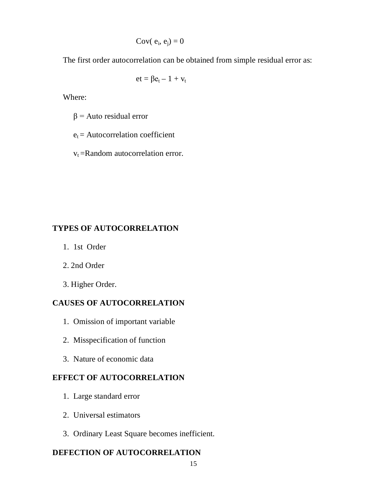$$
Cov(\ e_i, e_j) = 0
$$

The first order autocorrelation can be obtained from simple residual error as:

$$
et = \beta e_t - 1 + v_t
$$

Where:

 $β = Auto residual error$ 

 $e_t$  = Autocorrelation coefficient

 $v_t$  = Random autocorrelation error.

### **TYPES OF AUTOCORRELATION**

- 1. 1st Order
- 2. 2nd Order
- 3. Higher Order.

# **CAUSES OF AUTOCORRELATION**

- 1. Omission of important variable
- 2. Misspecification of function
- 3. Nature of economic data

### **EFFECT OF AUTOCORRELATION**

- 1. Large standard error
- 2. Universal estimators
- 3. Ordinary Least Square becomes inefficient.

### **DEFECTION OF AUTOCORRELATION**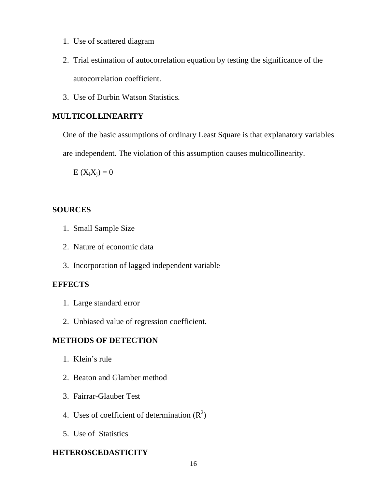- 1. Use of scattered diagram
- 2. Trial estimation of autocorrelation equation by testing the significance of the autocorrelation coefficient.
- 3. Use of Durbin Watson Statistics.

### **MULTICOLLINEARITY**

One of the basic assumptions of ordinary Least Square is that explanatory variables are independent. The violation of this assumption causes multicollinearity.

 $E (X_i X_j) = 0$ 

#### **SOURCES**

- 1. Small Sample Size
- 2. Nature of economic data
- 3. Incorporation of lagged independent variable

#### **EFFECTS**

- 1. Large standard error
- 2. Unbiased value of regression coefficient**.**

### **METHODS OF DETECTION**

- 1. Klein's rule
- 2. Beaton and Glamber method
- 3. Fairrar-Glauber Test
- 4. Uses of coefficient of determination  $(R^2)$
- 5. Use of Statistics

### **HETEROSCEDASTICITY**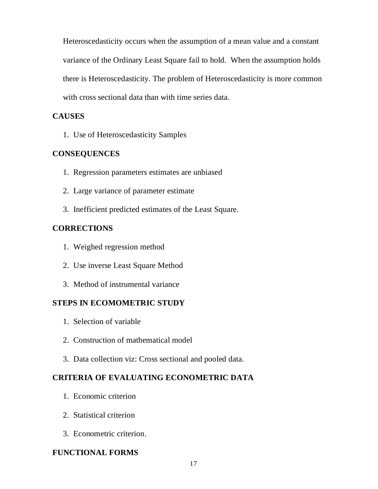Heteroscedasticity occurs when the assumption of a mean value and a constant variance of the Ordinary Least Square fail to hold. When the assumption holds there is Heteroscedasticity. The problem of Heteroscedasticity is more common with cross sectional data than with time series data.

### **CAUSES**

1. Use of Heteroscedasticity Samples

## **CONSEQUENCES**

- 1. Regression parameters estimates are unbiased
- 2. Large variance of parameter estimate
- 3. Inefficient predicted estimates of the Least Square.

## **CORRECTIONS**

- 1. Weighed regression method
- 2. Use inverse Least Square Method
- 3. Method of instrumental variance

## **STEPS IN ECOMOMETRIC STUDY**

- 1. Selection of variable
- 2. Construction of mathematical model
- 3. Data collection viz: Cross sectional and pooled data.

## **CRITERIA OF EVALUATING ECONOMETRIC DATA**

- 1. Economic criterion
- 2. Statistical criterion
- 3. Econometric criterion.

## **FUNCTIONAL FORMS**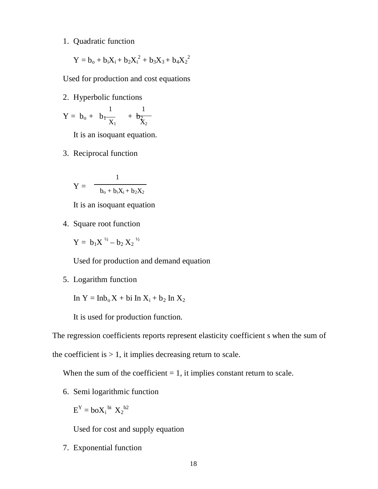1. Quadratic function

$$
Y = b_o + b_i X_i + b_2 X_i^2 + b_3 X_3 + b_4 X_2^2
$$

Used for production and cost equations

2. Hyperbolic functions

$$
Y=\,b_o+\;\;b_1\frac{1}{X_1}\quad \ \, +\,\frac{1}{b_{Z_2}^2}
$$

It is an isoquant equation.

3. Reciprocal function

1 b<sup>o</sup> + biXi + b2X<sup>2</sup> Y =

It is an isoquant equation

4. Square root function

 $Y = b_1 X^{\frac{1}{2}} - b_2 X_2^{\frac{1}{2}}$ 

Used for production and demand equation

5. Logarithm function

In  $Y = Inb<sub>o</sub>X + bi In X<sub>i</sub> + b<sub>2</sub> In X<sub>2</sub>$ 

It is used for production function.

The regression coefficients reports represent elasticity coefficient s when the sum of

the coefficient is  $> 1$ , it implies decreasing return to scale.

When the sum of the coefficient  $= 1$ , it implies constant return to scale.

6. Semi logarithmic function

$$
E^Y = \mathbf{bo} X_i^{\text{bi}} X_2^{\text{b2}}
$$

Used for cost and supply equation

7. Exponential function